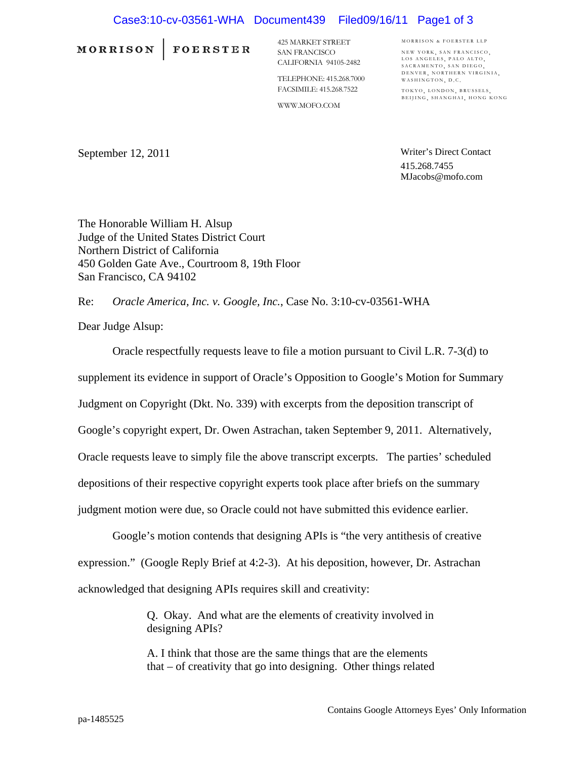## Case3:10-cv-03561-WHA Document439 Filed09/16/11 Page1 of 3

MORRISON | FOERSTER

425 MARKET STREET SAN FRANCISCO CALIFORNIA 94105-2482

TELEPHONE: 415.268.7000 FACSIMILE: 415.268.7522

WWW.MOFO.COM

MORRISON & FOERSTER LLP NEW YORK SAN FRANCISCO LOS ANGELES, PALO ALTO,<br>SACRAMENTO, SAN DIEGO, DENVER, NORTHERN VIRGINIA, WASHINGTON, D.C.

TOKYO, LONDON, BRUSSELS, BEIJING, SHANGHAI, HONG KONG

September 12, 2011

Writer's Direct Contact 415.268.7455 MJacobs@mofo.com

The Honorable William H. Alsup Judge of the United States District Court Northern District of California 450 Golden Gate Ave., Courtroom 8, 19th Floor San Francisco, CA 94102

Re: *Oracle America, Inc. v. Google, Inc.*, Case No. 3:10-cv-03561-WHA

Dear Judge Alsup:

Oracle respectfully requests leave to file a motion pursuant to Civil L.R. 7-3(d) to

supplement its evidence in support of Oracle's Opposition to Google's Motion for Summary

Judgment on Copyright (Dkt. No. 339) with excerpts from the deposition transcript of

Google's copyright expert, Dr. Owen Astrachan, taken September 9, 2011. Alternatively,

Oracle requests leave to simply file the above transcript excerpts. The parties' scheduled

depositions of their respective copyright experts took place after briefs on the summary

judgment motion were due, so Oracle could not have submitted this evidence earlier.

Google's motion contends that designing APIs is "the very antithesis of creative expression." (Google Reply Brief at 4:2-3). At his deposition, however, Dr. Astrachan acknowledged that designing APIs requires skill and creativity:

> Q. Okay. And what are the elements of creativity involved in designing APIs?

> A. I think that those are the same things that are the elements that – of creativity that go into designing. Other things related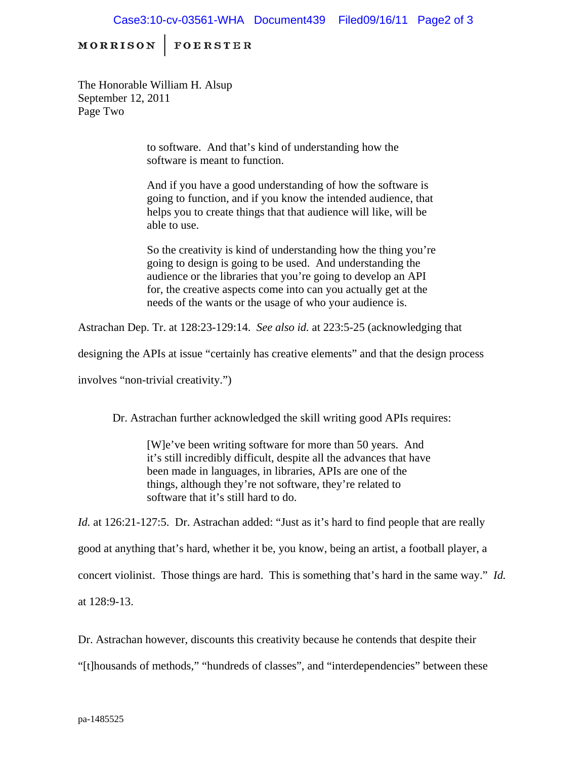## Case3:10-cv-03561-WHA Document439 Filed09/16/11 Page2 of 3

MORRISON | FOERSTER

The Honorable William H. Alsup September 12, 2011 Page Two

> to software. And that's kind of understanding how the software is meant to function.

And if you have a good understanding of how the software is going to function, and if you know the intended audience, that helps you to create things that that audience will like, will be able to use.

So the creativity is kind of understanding how the thing you're going to design is going to be used. And understanding the audience or the libraries that you're going to develop an API for, the creative aspects come into can you actually get at the needs of the wants or the usage of who your audience is.

Astrachan Dep. Tr. at 128:23-129:14. *See also id.* at 223:5-25 (acknowledging that

designing the APIs at issue "certainly has creative elements" and that the design process

involves "non-trivial creativity.")

Dr. Astrachan further acknowledged the skill writing good APIs requires:

[W]e've been writing software for more than 50 years. And it's still incredibly difficult, despite all the advances that have been made in languages, in libraries, APIs are one of the things, although they're not software, they're related to software that it's still hard to do.

*Id.* at 126:21-127:5. Dr. Astrachan added: "Just as it's hard to find people that are really good at anything that's hard, whether it be, you know, being an artist, a football player, a concert violinist. Those things are hard. This is something that's hard in the same way." *Id.*  at 128:9-13.

Dr. Astrachan however, discounts this creativity because he contends that despite their

"[t]housands of methods," "hundreds of classes", and "interdependencies" between these